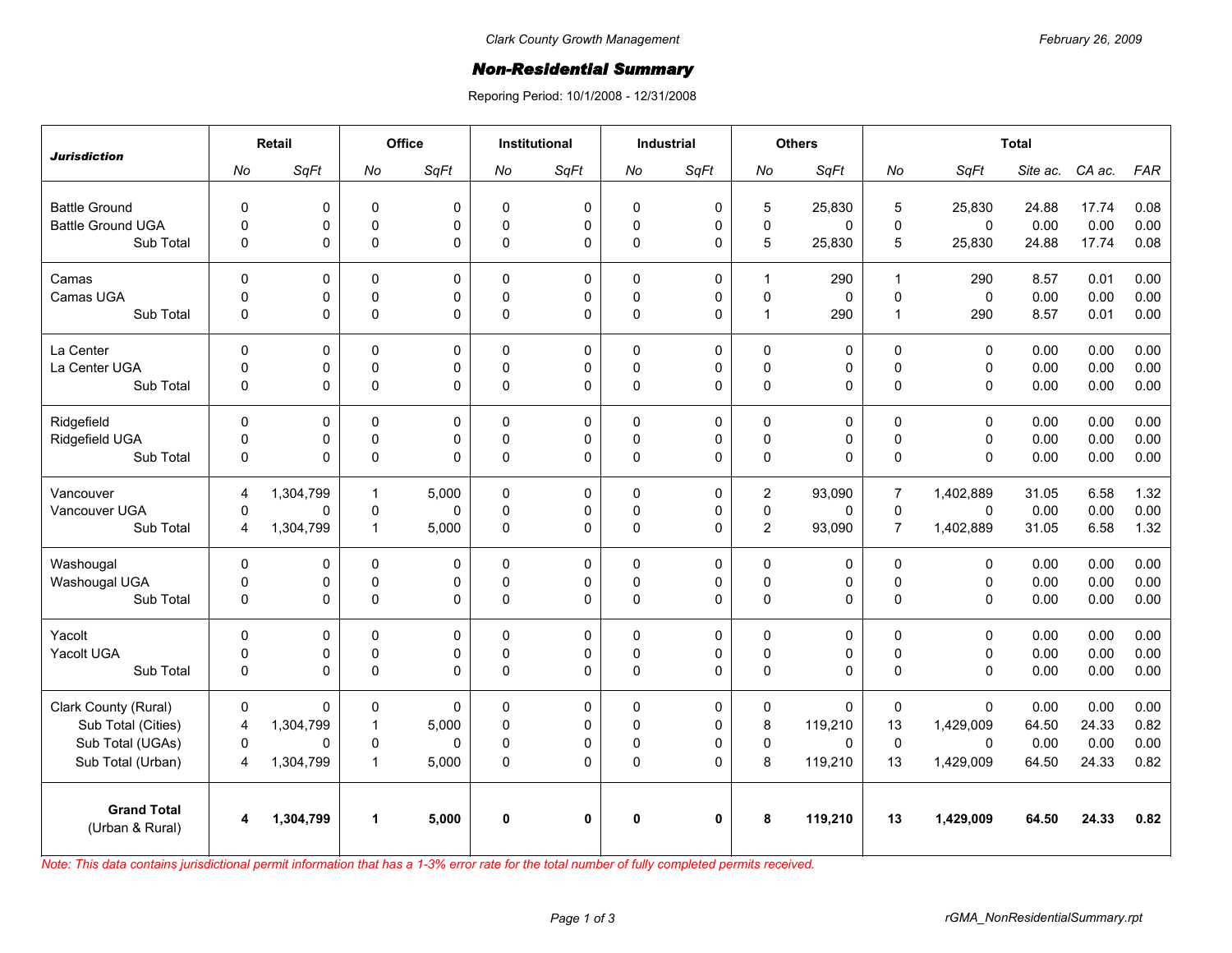## *Non-Residential Summary*

Reporing Period: 10/1/2008 - 12/31/2008

| <b>Jurisdiction</b>                   | Retail         |             | Office       |             | Institutional |           | Industrial   |             | <b>Others</b>  |             | <b>Total</b>   |              |          |        |            |
|---------------------------------------|----------------|-------------|--------------|-------------|---------------|-----------|--------------|-------------|----------------|-------------|----------------|--------------|----------|--------|------------|
|                                       | No             | SqFt        | No           | SqFt        | No            | SqFt      | No           | SqFt        | No             | SqFt        | No             | SqFt         | Site ac. | CA ac. | <b>FAR</b> |
| <b>Battle Ground</b>                  | $\mathbf 0$    | 0           | $\pmb{0}$    | 0           | 0             | 0         | $\mathbf 0$  | 0           | 5              | 25,830      | 5              | 25,830       | 24.88    | 17.74  | 0.08       |
| <b>Battle Ground UGA</b>              | $\pmb{0}$      | $\mathsf 0$ | $\pmb{0}$    | 0           | $\Omega$      | $\pmb{0}$ | $\mathbf 0$  | $\mathbf 0$ | 0              | $\mathbf 0$ | $\pmb{0}$      | $\mathbf 0$  | 0.00     | 0.00   | 0.00       |
| Sub Total                             | $\pmb{0}$      | 0           | $\mathsf 0$  | 0           | $\pmb{0}$     | 0         | $\mathbf 0$  | 0           | 5              | 25,830      | 5              | 25,830       | 24.88    | 17.74  | 0.08       |
| Camas                                 | $\mathbf 0$    | 0           | $\mathbf 0$  | $\mathbf 0$ | $\Omega$      | 0         | $\mathbf 0$  | $\mathbf 0$ | $\mathbf{1}$   | 290         | $\mathbf{1}$   | 290          | 8.57     | 0.01   | 0.00       |
| Camas UGA                             | $\pmb{0}$      | $\mathsf 0$ | $\pmb{0}$    | 0           | $\Omega$      | 0         | 0            | 0           | $\mathsf 0$    | $\mathbf 0$ | $\pmb{0}$      | $\mathsf 0$  | 0.00     | 0.00   | 0.00       |
| Sub Total                             | $\Omega$       | 0           | $\mathsf 0$  | 0           | $\Omega$      | 0         | $\mathbf{0}$ | 0           | $\mathbf{1}$   | 290         | $\mathbf{1}$   | 290          | 8.57     | 0.01   | 0.00       |
| La Center                             | $\mathsf 0$    | 0           | $\mathbf 0$  | 0           | $\mathbf 0$   | 0         | $\mathbf 0$  | 0           | 0              | 0           | $\pmb{0}$      | $\mathbf 0$  | 0.00     | 0.00   | 0.00       |
| La Center UGA                         | $\pmb{0}$      | 0           | $\pmb{0}$    | 0           | $\mathbf 0$   | $\pmb{0}$ | $\mathbf 0$  | $\pmb{0}$   | 0              | 0           | $\pmb{0}$      | $\pmb{0}$    | 0.00     | 0.00   | 0.00       |
| Sub Total                             | $\mathbf 0$    | 0           | $\mathbf 0$  | 0           | $\Omega$      | 0         | $\mathbf 0$  | $\Omega$    | 0              | 0           | $\Omega$       | $\mathbf 0$  | 0.00     | 0.00   | 0.00       |
| Ridgefield                            | $\Omega$       | 0           | $\mathbf{0}$ | $\Omega$    | $\Omega$      | 0         | $\mathbf{0}$ | 0           | $\Omega$       | $\Omega$    | $\Omega$       | $\mathbf{0}$ | 0.00     | 0.00   | 0.00       |
| Ridgefield UGA                        | $\mathsf 0$    | $\mathsf 0$ | $\pmb{0}$    | 0           | $\mathbf 0$   | $\pmb{0}$ | 0            | $\pmb{0}$   | $\mathsf 0$    | 0           | $\pmb{0}$      | $\mathbf 0$  | 0.00     | 0.00   | 0.00       |
| Sub Total                             | $\pmb{0}$      | 0           | $\pmb{0}$    | 0           | $\mathbf 0$   | 0         | $\mathbf 0$  | 0           | 0              | 0           | $\mathbf{0}$   | $\mathbf 0$  | 0.00     | 0.00   | 0.00       |
| Vancouver                             | 4              | 1,304,799   | $\mathbf{1}$ | 5,000       | $\Omega$      | 0         | $\mathbf{0}$ | $\pmb{0}$   | $\overline{2}$ | 93,090      | $\overline{7}$ | 1,402,889    | 31.05    | 6.58   | 1.32       |
| Vancouver UGA                         | $\mathbf 0$    | 0           | $\pmb{0}$    | $\mathbf 0$ | $\mathbf 0$   | 0         | 0            | 0           | $\mathsf 0$    | 0           | $\mathbf 0$    | $\mathbf 0$  | 0.00     | 0.00   | 0.00       |
| Sub Total                             | $\overline{4}$ | 1,304,799   | $\mathbf{1}$ | 5,000       | $\Omega$      | 0         | $\mathbf{0}$ | 0           | $\overline{2}$ | 93,090      | $\overline{7}$ | 1,402,889    | 31.05    | 6.58   | 1.32       |
| Washougal                             | 0              | 0           | $\mathbf{0}$ | 0           | $\Omega$      | 0         | $\mathbf{0}$ | 0           | 0              | 0           | $\pmb{0}$      | $\mathbf 0$  | 0.00     | 0.00   | 0.00       |
| Washougal UGA                         | $\pmb{0}$      | 0           | $\pmb{0}$    | 0           | $\mathbf 0$   | $\pmb{0}$ | $\mathbf 0$  | $\pmb{0}$   | $\mathsf 0$    | 0           | $\pmb{0}$      | $\pmb{0}$    | 0.00     | 0.00   | 0.00       |
| Sub Total                             | $\mathbf 0$    | 0           | $\mathbf 0$  | 0           | $\Omega$      | 0         | $\mathbf 0$  | 0           | 0              | 0           | $\Omega$       | $\mathbf{0}$ | 0.00     | 0.00   | 0.00       |
| Yacolt                                | $\Omega$       | 0           | $\mathbf{0}$ | $\Omega$    | $\Omega$      | 0         | $\mathbf{0}$ | $\Omega$    | $\Omega$       | 0           | $\Omega$       | $\mathbf{0}$ | 0.00     | 0.00   | 0.00       |
| Yacolt UGA                            | $\mathsf 0$    | 0           | $\pmb{0}$    | 0           | $\mathbf 0$   | $\pmb{0}$ | $\pmb{0}$    | $\pmb{0}$   | $\mathsf 0$    | 0           | $\pmb{0}$      | $\mathbf 0$  | 0.00     | 0.00   | 0.00       |
| Sub Total                             | $\Omega$       | 0           | $\mathsf 0$  | 0           | $\Omega$      | 0         | $\mathbf 0$  | 0           | 0              | 0           | $\mathbf 0$    | $\mathbf 0$  | 0.00     | 0.00   | 0.00       |
| Clark County (Rural)                  | $\mathbf 0$    | 0           | $\mathbf 0$  | $\Omega$    | $\Omega$      | 0         | $\mathbf{0}$ | 0           | 0              | $\mathbf 0$ | $\mathbf 0$    | $\mathbf 0$  | 0.00     | 0.00   | 0.00       |
| Sub Total (Cities)                    | $\overline{4}$ | 1,304,799   | $\mathbf{1}$ | 5,000       | $\Omega$      | 0         | $\Omega$     | 0           | 8              | 119,210     | 13             | 1,429,009    | 64.50    | 24.33  | 0.82       |
| Sub Total (UGAs)                      | $\Omega$       | 0           | $\mathbf 0$  | 0           | $\Omega$      | 0         | $\Omega$     | 0           | $\mathsf 0$    | $\Omega$    | $\mathbf 0$    | $\Omega$     | 0.00     | 0.00   | 0.00       |
| Sub Total (Urban)                     | 4              | 1,304,799   | $\mathbf{1}$ | 5,000       | $\Omega$      | $\Omega$  | $\mathbf{0}$ | 0           | 8              | 119,210     | 13             | 1,429,009    | 64.50    | 24.33  | 0.82       |
| <b>Grand Total</b><br>(Urban & Rural) | 4              | 1,304,799   | $\mathbf{1}$ | 5,000       | 0             | 0         | 0            | 0           | 8              | 119,210     | 13             | 1,429,009    | 64.50    | 24.33  | 0.82       |

*Note: This data contains jurisdictional permit information that has a 1-3% error rate for the total number of fully completed permits received.*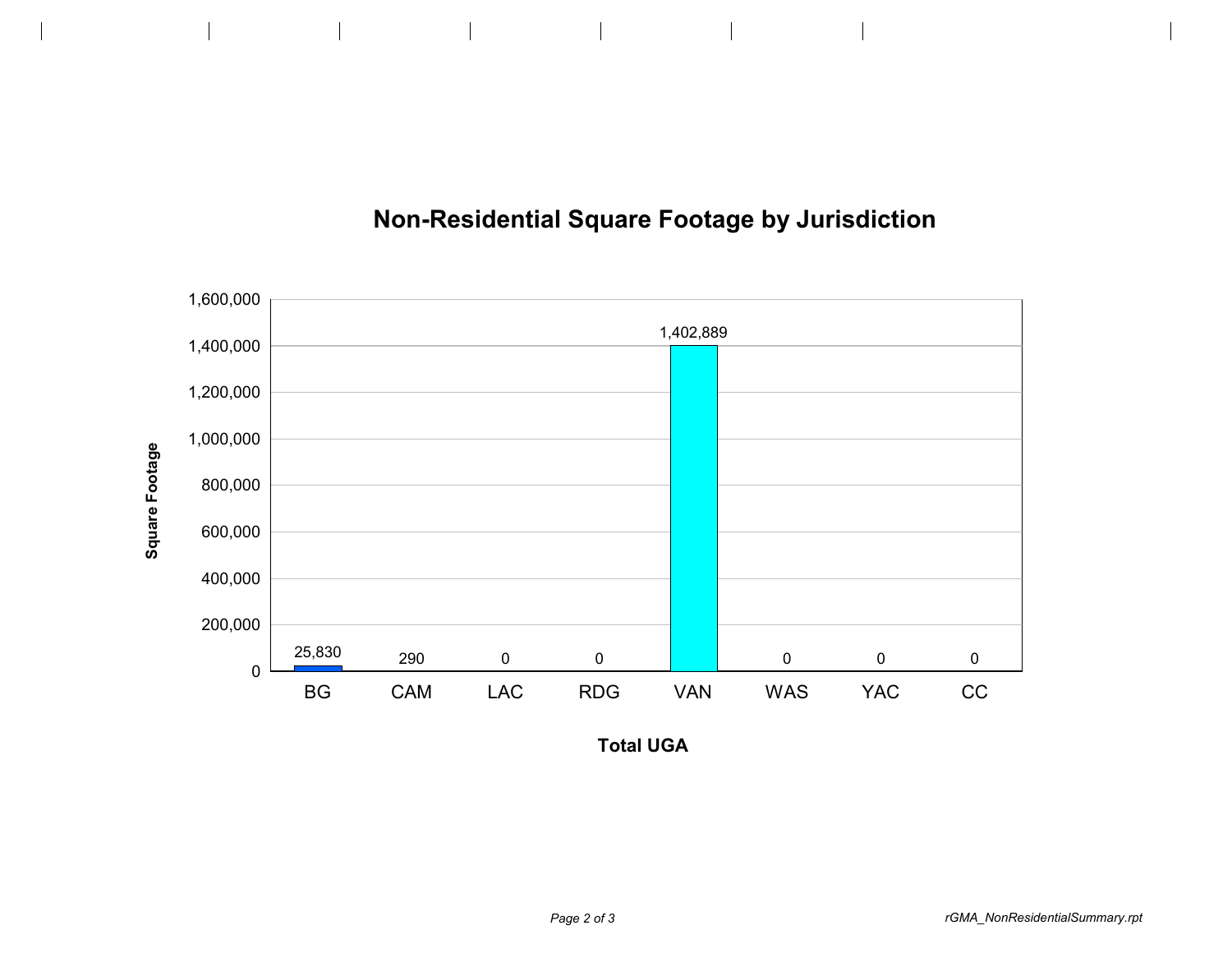



**Total UGA**